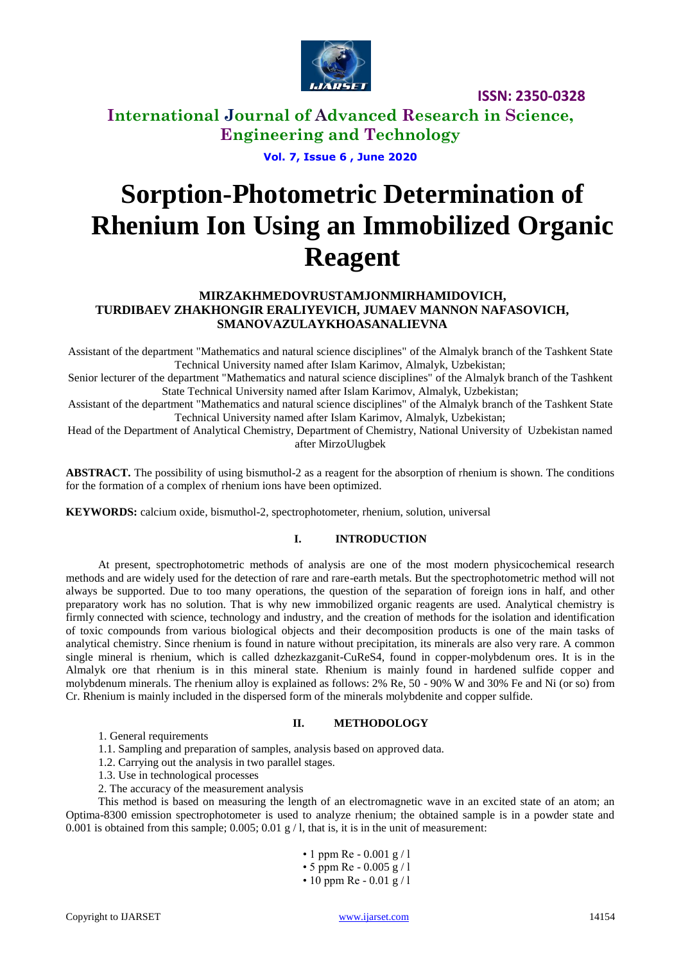

**ISSN: 2350-0328**

# **International Journal of Advanced Research in Science, Engineering and Technology**

**Vol. 7, Issue 6 , June 2020**

# **Sorption-Photometric Determination of Rhenium Ion Using an Immobilized Organic Reagent**

#### **MIRZAKHMEDOVRUSTAMJONMIRHAMIDOVICH, TURDIBAEV ZHAKHONGIR ERALIYEVICH, JUMAEV MANNON NAFASOVICH, SMANOVAZULAYKHOASANALIEVNA**

Assistant of the department "Mathematics and natural science disciplines" of the Almalyk branch of the Tashkent State Technical University named after Islam Karimov, Almalyk, Uzbekistan;

Senior lecturer of the department "Mathematics and natural science disciplines" of the Almalyk branch of the Tashkent State Technical University named after Islam Karimov, Almalyk, Uzbekistan;

Assistant of the department "Mathematics and natural science disciplines" of the Almalyk branch of the Tashkent State Technical University named after Islam Karimov, Almalyk, Uzbekistan;

Head of the Department of Analytical Chemistry, Department of Chemistry, National University of Uzbekistan named after MirzoUlugbek

ABSTRACT. The possibility of using bismuthol-2 as a reagent for the absorption of rhenium is shown. The conditions for the formation of a complex of rhenium ions have been optimized.

**KEYWORDS:** calcium oxide, bismuthol-2, spectrophotometer, rhenium, solution, universal

#### **I. INTRODUCTION**

At present, spectrophotometric methods of analysis are one of the most modern physicochemical research methods and are widely used for the detection of rare and rare-earth metals. But the spectrophotometric method will not always be supported. Due to too many operations, the question of the separation of foreign ions in half, and other preparatory work has no solution. That is why new immobilized organic reagents are used. Analytical chemistry is firmly connected with science, technology and industry, and the creation of methods for the isolation and identification of toxic compounds from various biological objects and their decomposition products is one of the main tasks of analytical chemistry. Since rhenium is found in nature without precipitation, its minerals are also very rare. A common single mineral is rhenium, which is called dzhezkazganit-CuReS4, found in copper-molybdenum ores. It is in the Almalyk ore that rhenium is in this mineral state. Rhenium is mainly found in hardened sulfide copper and molybdenum minerals. The rhenium alloy is explained as follows: 2% Re, 50 - 90% W and 30% Fe and Ni (or so) from Cr. Rhenium is mainly included in the dispersed form of the minerals molybdenite and copper sulfide.

#### **II. METHODOLOGY**

1. General requirements

1.1. Sampling and preparation of samples, analysis based on approved data.

1.2. Carrying out the analysis in two parallel stages.

1.3. Use in technological processes

2. The accuracy of the measurement analysis

This method is based on measuring the length of an electromagnetic wave in an excited state of an atom; an Optima-8300 emission spectrophotometer is used to analyze rhenium; the obtained sample is in a powder state and 0.001 is obtained from this sample; 0.005; 0.01  $g / 1$ , that is, it is in the unit of measurement:

> • 1 ppm Re -  $0.001$  g / 1 • 5 ppm Re - 0.005 g / l

> • 10 ppm Re - 0.01 g / 1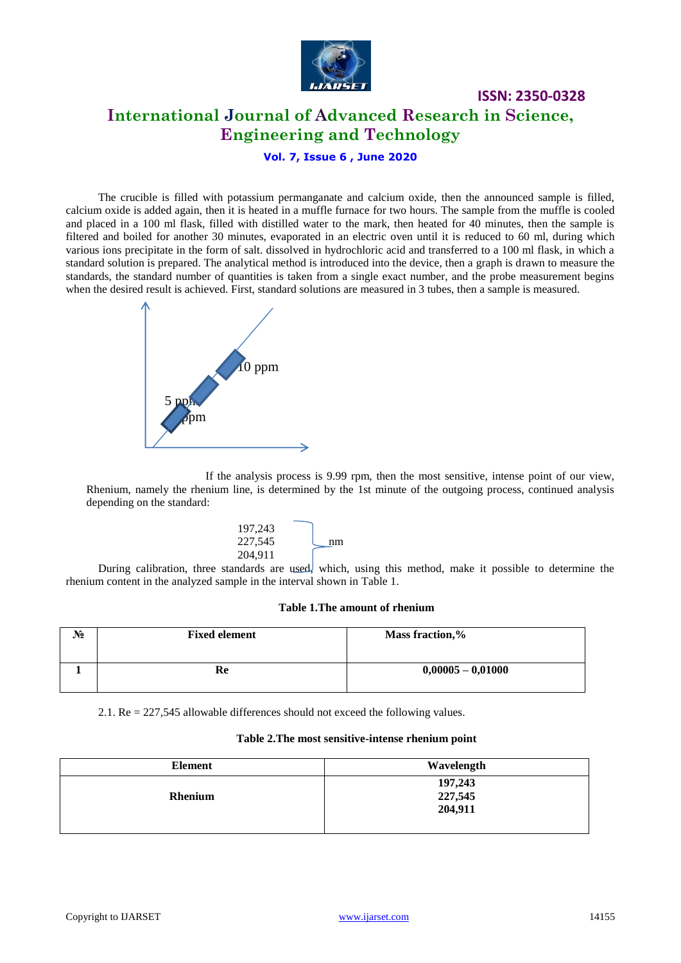

# **International Journal of Advanced Research in Science, Engineering and Technology**

**ISSN: 2350-0328**

**Vol. 7, Issue 6 , June 2020**

The crucible is filled with potassium permanganate and calcium oxide, then the announced sample is filled, calcium oxide is added again, then it is heated in a muffle furnace for two hours. The sample from the muffle is cooled and placed in a 100 ml flask, filled with distilled water to the mark, then heated for 40 minutes, then the sample is filtered and boiled for another 30 minutes, evaporated in an electric oven until it is reduced to 60 ml, during which various ions precipitate in the form of salt. dissolved in hydrochloric acid and transferred to a 100 ml flask, in which a standard solution is prepared. The analytical method is introduced into the device, then a graph is drawn to measure the standards, the standard number of quantities is taken from a single exact number, and the probe measurement begins when the desired result is achieved. First, standard solutions are measured in 3 tubes, then a sample is measured.



If the analysis process is 9.99 rpm, then the most sensitive, intense point of our view, Rhenium, namely the rhenium line, is determined by the 1st minute of the outgoing process, continued analysis depending on the standard:



During calibration, three standards are used, which, using this method, make it possible to determine the rhenium content in the analyzed sample in the interval shown in Table 1.

#### **Table 1.The amount of rhenium**

| N° | <b>Fixed element</b> | Mass fraction,%     |
|----|----------------------|---------------------|
|    | Re                   | $0,00005 - 0,01000$ |

2.1. Re = 227,545 allowable differences should not exceed the following values.

#### **Table 2.The most sensitive-intense rhenium point**

| <b>Element</b> | Wavelength                    |
|----------------|-------------------------------|
| Rhenium        | 197,243<br>227,545<br>204,911 |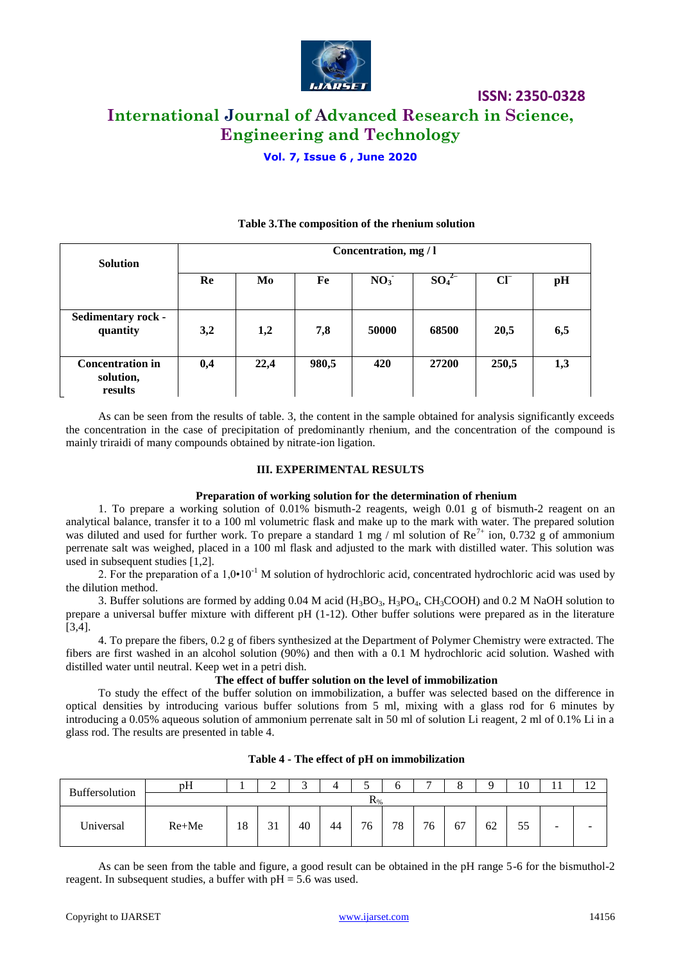

**ISSN: 2350-0328**

# **International Journal of Advanced Research in Science, Engineering and Technology**

**Vol. 7, Issue 6 , June 2020**

| <b>Solution</b>                                 | Concentration, mg / l |      |       |                 |          |        |     |  |  |  |
|-------------------------------------------------|-----------------------|------|-------|-----------------|----------|--------|-----|--|--|--|
|                                                 | Re                    | Mo   | Fe    | NO <sub>3</sub> | $SO_4^2$ | $CI^-$ | pH  |  |  |  |
| <b>Sedimentary rock -</b><br>quantity           | 3,2                   | 1,2  | 7,8   | 50000           | 68500    | 20,5   | 6,5 |  |  |  |
| <b>Concentration in</b><br>solution,<br>results | 0,4                   | 22,4 | 980,5 | 420             | 27200    | 250,5  | 1,3 |  |  |  |

#### **Table 3.The composition of the rhenium solution**

As can be seen from the results of table. 3, the content in the sample obtained for analysis significantly exceeds the concentration in the case of precipitation of predominantly rhenium, and the concentration of the compound is mainly triraidi of many compounds obtained by nitrate-ion ligation.

#### **III. EXPERIMENTAL RESULTS**

#### **Preparation of working solution for the determination of rhenium**

1. To prepare a working solution of 0.01% bismuth-2 reagents, weigh 0.01 g of bismuth-2 reagent on an analytical balance, transfer it to a 100 ml volumetric flask and make up to the mark with water. The prepared solution was diluted and used for further work. To prepare a standard 1 mg / ml solution of  $\text{Re}^{7+}$  ion, 0.732 g of ammonium perrenate salt was weighed, placed in a 100 ml flask and adjusted to the mark with distilled water. This solution was used in subsequent studies [1,2].

2. For the preparation of a  $1.0 \cdot 10^{-1}$  M solution of hydrochloric acid, concentrated hydrochloric acid was used by the dilution method.

3. Buffer solutions are formed by adding  $0.04$  M acid (H<sub>3</sub>BO<sub>3</sub>, H<sub>3</sub>PO<sub>4</sub>, CH<sub>3</sub>COOH) and 0.2 M NaOH solution to prepare a universal buffer mixture with different pH (1-12). Other buffer solutions were prepared as in the literature [3,4].

4. To prepare the fibers, 0.2 g of fibers synthesized at the Department of Polymer Chemistry were extracted. The fibers are first washed in an alcohol solution (90%) and then with a 0.1 M hydrochloric acid solution. Washed with distilled water until neutral. Keep wet in a petri dish.

#### **The effect of buffer solution on the level of immobilization**

To study the effect of the buffer solution on immobilization, a buffer was selected based on the difference in optical densities by introducing various buffer solutions from 5 ml, mixing with a glass rod for 6 minutes by introducing a 0.05% aqueous solution of ammonium perrenate salt in 50 ml of solution Li reagent, 2 ml of 0.1% Li in a glass rod. The results are presented in table 4.

| Buffersolution | pH             |    | ∸           |    |    | ັ  |    | $\overline{ }$ | $\circ$<br>O |    | 10 |                          | $1^{\circ}$<br>. . |
|----------------|----------------|----|-------------|----|----|----|----|----------------|--------------|----|----|--------------------------|--------------------|
|                | $\mathbf{N}\%$ |    |             |    |    |    |    |                |              |    |    |                          |                    |
| Universal      | $Re+Me$        | 18 | $\sim$<br>◡ | 40 | 44 | 76 | 78 | 76             | 67           | 62 | 55 | $\overline{\phantom{a}}$ | -                  |

#### **Table 4 - The effect of pH on immobilization**

As can be seen from the table and figure, a good result can be obtained in the pH range 5-6 for the bismuthol-2 reagent. In subsequent studies, a buffer with  $pH = 5.6$  was used.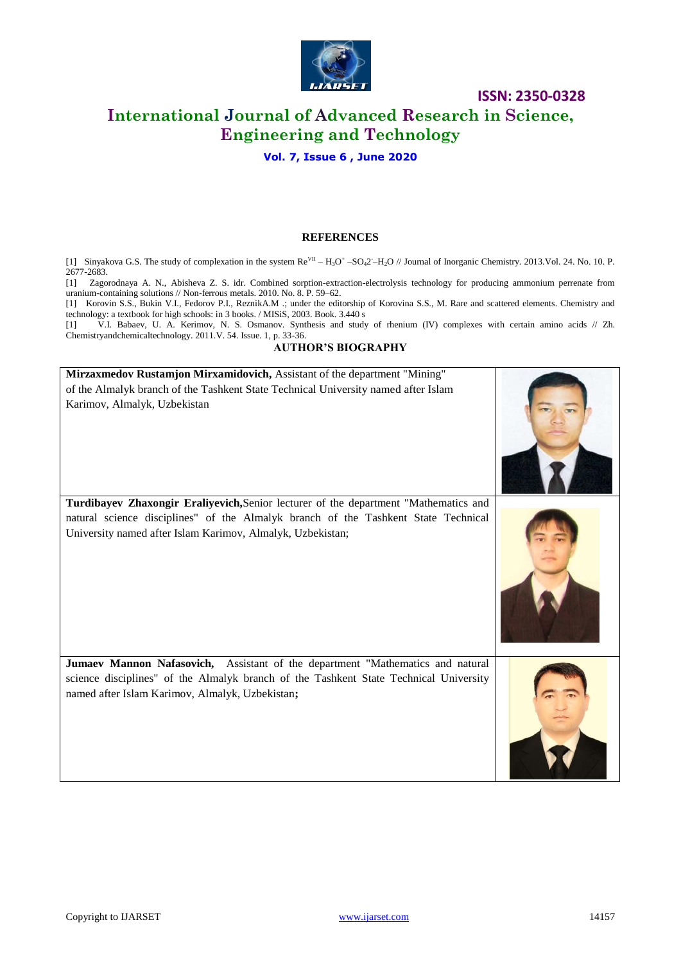

### **ISSN: 2350-0328**

# **International Journal of Advanced Research in Science, Engineering and Technology**

#### **Vol. 7, Issue 6 , June 2020**

#### **REFERENCES**

[1] Sinyakova G.S. The study of complexation in the system  $Re<sup>VI</sup> - H<sub>3</sub>O<sup>+</sup> - SO<sub>4</sub>2<sup>-</sup>-H<sub>2</sub>O<sup>/</sup>$  Journal of Inorganic Chemistry. 2013. Vol. 24. No. 10. P. 2677-2683.

[1] Zagorodnaya A. N., Abisheva Z. S. idr. Combined sorption-extraction-electrolysis technology for producing ammonium perrenate from uranium-containing solutions // Non-ferrous metals. 2010. No. 8. P. 59–62.

[1] Korovin S.S., Bukin V.I., Fedorov P.I., ReznikA.M .; under the editorship of Korovina S.S., M. Rare and scattered elements. Chemistry and technology: a textbook for high schools: in 3 books. / MISiS, 2003. Book. 3.440 s

[1] V.I. Babaev, U. A. Kerimov, N. S. Osmanov. Synthesis and study of rhenium (IV) complexes with certain amino acids // Zh. Chemistryandchemicaltechnology. 2011.V. 54. Issue. 1, p. 33-36.

#### **AUTHOR'S BIOGRAPHY**